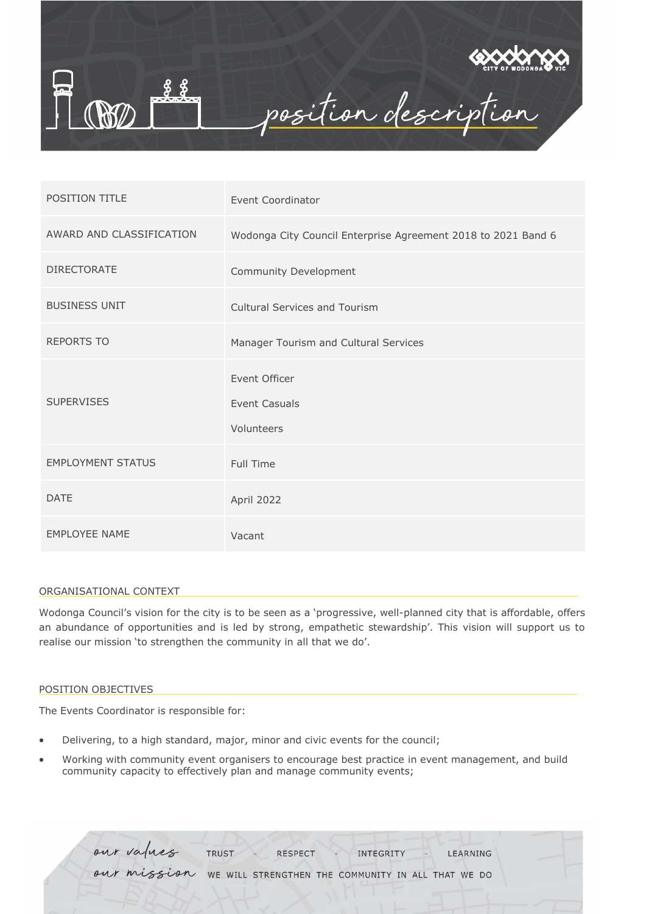

| <b>POSITION TITLE</b>    | Event Coordinator                                             |
|--------------------------|---------------------------------------------------------------|
| AWARD AND CLASSIFICATION | Wodonga City Council Enterprise Agreement 2018 to 2021 Band 6 |
| <b>DIRECTORATE</b>       | Community Development                                         |
| <b>BUSINESS UNIT</b>     | <b>Cultural Services and Tourism</b>                          |
| <b>REPORTS TO</b>        | Manager Tourism and Cultural Services                         |
| <b>SUPERVISES</b>        | Event Officer<br>Event Casuals<br>Volunteers                  |
| <b>EMPLOYMENT STATUS</b> | <b>Full Time</b>                                              |
| <b>DATE</b>              | April 2022                                                    |
| <b>EMPLOYEE NAME</b>     | Vacant                                                        |

#### ORGANISATIONAL CONTEXT

Wodonga Council's vision for the city is to be seen as a 'progressive, well-planned city that is affordable, offers an abundance of opportunities and is led by strong, empathetic stewardship'. This vision will support us to realise our mission 'to strengthen the community in all that we do'.

#### POSITION OBJECTIVES

The Events Coordinator is responsible for:

- Delivering, to a high standard, major, minor and civic events for the council;
- Working with community event organisers to encourage best practice in event management, and build community capacity to effectively plan and manage community events;

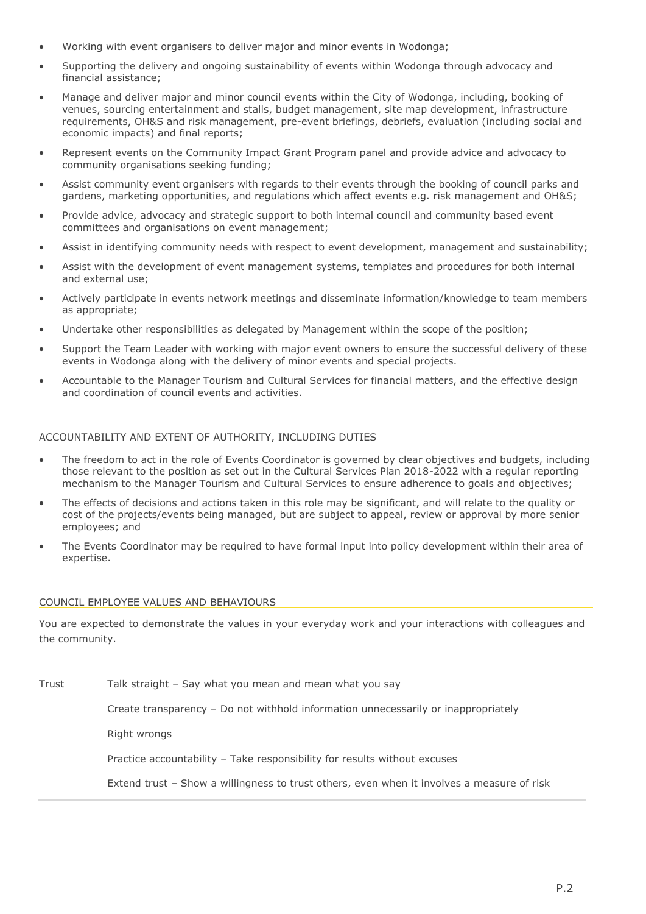- Working with event organisers to deliver major and minor events in Wodonga;
- Supporting the delivery and ongoing sustainability of events within Wodonga through advocacy and financial assistance;
- Manage and deliver major and minor council events within the City of Wodonga, including, booking of venues, sourcing entertainment and stalls, budget management, site map development, infrastructure requirements, OH&S and risk management, pre-event briefings, debriefs, evaluation (including social and economic impacts) and final reports;
- Represent events on the Community Impact Grant Program panel and provide advice and advocacy to community organisations seeking funding;
- Assist community event organisers with regards to their events through the booking of council parks and gardens, marketing opportunities, and regulations which affect events e.g. risk management and OH&S;
- Provide advice, advocacy and strategic support to both internal council and community based event committees and organisations on event management;
- Assist in identifying community needs with respect to event development, management and sustainability;
- Assist with the development of event management systems, templates and procedures for both internal and external use;
- Actively participate in events network meetings and disseminate information/knowledge to team members as appropriate;
- Undertake other responsibilities as delegated by Management within the scope of the position;
- Support the Team Leader with working with major event owners to ensure the successful delivery of these events in Wodonga along with the delivery of minor events and special projects.
- Accountable to the Manager Tourism and Cultural Services for financial matters, and the effective design and coordination of council events and activities.

# ACCOUNTABILITY AND EXTENT OF AUTHORITY, INCLUDING DUTIES

- The freedom to act in the role of Events Coordinator is governed by clear objectives and budgets, including those relevant to the position as set out in the Cultural Services Plan 2018-2022 with a regular reporting mechanism to the Manager Tourism and Cultural Services to ensure adherence to goals and objectives;
- The effects of decisions and actions taken in this role may be significant, and will relate to the quality or cost of the projects/events being managed, but are subject to appeal, review or approval by more senior employees; and
- The Events Coordinator may be required to have formal input into policy development within their area of expertise.

# COUNCIL EMPLOYEE VALUES AND BEHAVIOURS

You are expected to demonstrate the values in your everyday work and your interactions with colleagues and the community.

Trust Talk straight - Say what you mean and mean what you say

Create transparency – Do not withhold information unnecessarily or inappropriately

Right wrongs

Practice accountability – Take responsibility for results without excuses

Extend trust – Show a willingness to trust others, even when it involves a measure of risk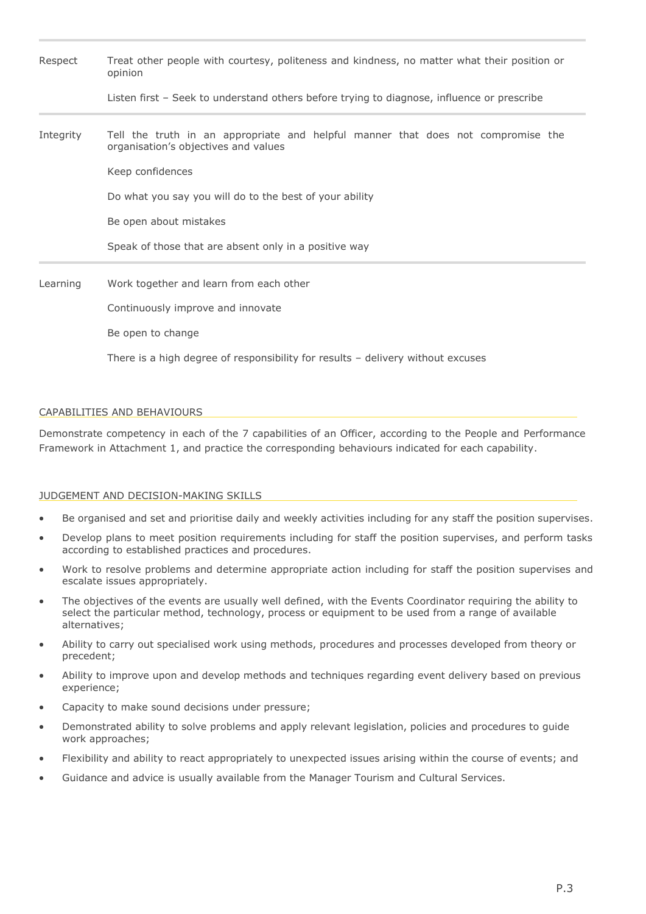| Respect   | Treat other people with courtesy, politeness and kindness, no matter what their position or<br>opinion<br>Listen first - Seek to understand others before trying to diagnose, influence or prescribe |  |  |  |  |  |
|-----------|------------------------------------------------------------------------------------------------------------------------------------------------------------------------------------------------------|--|--|--|--|--|
|           |                                                                                                                                                                                                      |  |  |  |  |  |
| Integrity | Tell the truth in an appropriate and helpful manner that does not compromise the<br>organisation's objectives and values                                                                             |  |  |  |  |  |
|           | Keep confidences                                                                                                                                                                                     |  |  |  |  |  |
|           | Do what you say you will do to the best of your ability                                                                                                                                              |  |  |  |  |  |
|           | Be open about mistakes                                                                                                                                                                               |  |  |  |  |  |
|           | Speak of those that are absent only in a positive way                                                                                                                                                |  |  |  |  |  |
| Learning  | Work together and learn from each other                                                                                                                                                              |  |  |  |  |  |
|           | Continuously improve and innovate                                                                                                                                                                    |  |  |  |  |  |
|           | Be open to change                                                                                                                                                                                    |  |  |  |  |  |
|           | There is a high degree of responsibility for results $-$ delivery without excuses                                                                                                                    |  |  |  |  |  |

# CAPABILITIES AND BEHAVIOURS

Demonstrate competency in each of the 7 capabilities of an Officer, according to the People and Performance Framework in Attachment 1, and practice the corresponding behaviours indicated for each capability.

#### JUDGEMENT AND DECISION-MAKING SKILLS

- Be organised and set and prioritise daily and weekly activities including for any staff the position supervises.
- Develop plans to meet position requirements including for staff the position supervises, and perform tasks according to established practices and procedures.
- Work to resolve problems and determine appropriate action including for staff the position supervises and escalate issues appropriately.
- The objectives of the events are usually well defined, with the Events Coordinator requiring the ability to select the particular method, technology, process or equipment to be used from a range of available alternatives;
- Ability to carry out specialised work using methods, procedures and processes developed from theory or precedent;
- Ability to improve upon and develop methods and techniques regarding event delivery based on previous experience;
- Capacity to make sound decisions under pressure;
- Demonstrated ability to solve problems and apply relevant legislation, policies and procedures to guide work approaches;
- Flexibility and ability to react appropriately to unexpected issues arising within the course of events; and
- Guidance and advice is usually available from the Manager Tourism and Cultural Services.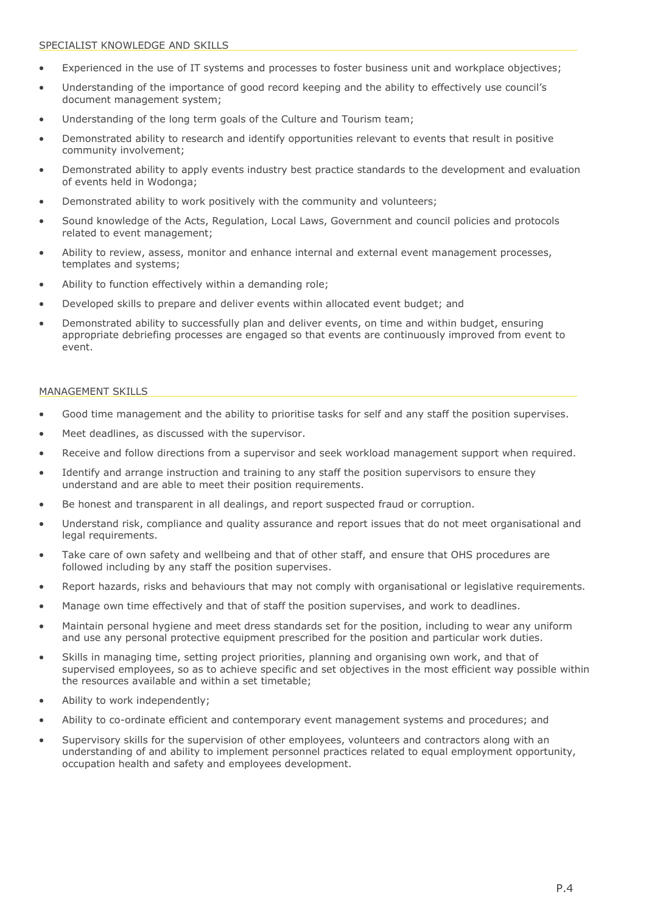- Experienced in the use of IT systems and processes to foster business unit and workplace objectives;
- Understanding of the importance of good record keeping and the ability to effectively use council's document management system;
- Understanding of the long term goals of the Culture and Tourism team;
- Demonstrated ability to research and identify opportunities relevant to events that result in positive community involvement;
- Demonstrated ability to apply events industry best practice standards to the development and evaluation of events held in Wodonga;
- Demonstrated ability to work positively with the community and volunteers;
- Sound knowledge of the Acts, Regulation, Local Laws, Government and council policies and protocols related to event management;
- Ability to review, assess, monitor and enhance internal and external event management processes, templates and systems;
- Ability to function effectively within a demanding role;
- Developed skills to prepare and deliver events within allocated event budget; and
- Demonstrated ability to successfully plan and deliver events, on time and within budget, ensuring appropriate debriefing processes are engaged so that events are continuously improved from event to event.

## MANAGEMENT SKILLS

- Good time management and the ability to prioritise tasks for self and any staff the position supervises.
- Meet deadlines, as discussed with the supervisor.
- Receive and follow directions from a supervisor and seek workload management support when required.
- Identify and arrange instruction and training to any staff the position supervisors to ensure they understand and are able to meet their position requirements.
- Be honest and transparent in all dealings, and report suspected fraud or corruption.
- Understand risk, compliance and quality assurance and report issues that do not meet organisational and legal requirements.
- Take care of own safety and wellbeing and that of other staff, and ensure that OHS procedures are followed including by any staff the position supervises.
- Report hazards, risks and behaviours that may not comply with organisational or legislative requirements.
- Manage own time effectively and that of staff the position supervises, and work to deadlines.
- Maintain personal hygiene and meet dress standards set for the position, including to wear any uniform and use any personal protective equipment prescribed for the position and particular work duties.
- Skills in managing time, setting project priorities, planning and organising own work, and that of supervised employees, so as to achieve specific and set objectives in the most efficient way possible within the resources available and within a set timetable;
- Ability to work independently;
- Ability to co-ordinate efficient and contemporary event management systems and procedures; and
- Supervisory skills for the supervision of other employees, volunteers and contractors along with an understanding of and ability to implement personnel practices related to equal employment opportunity, occupation health and safety and employees development.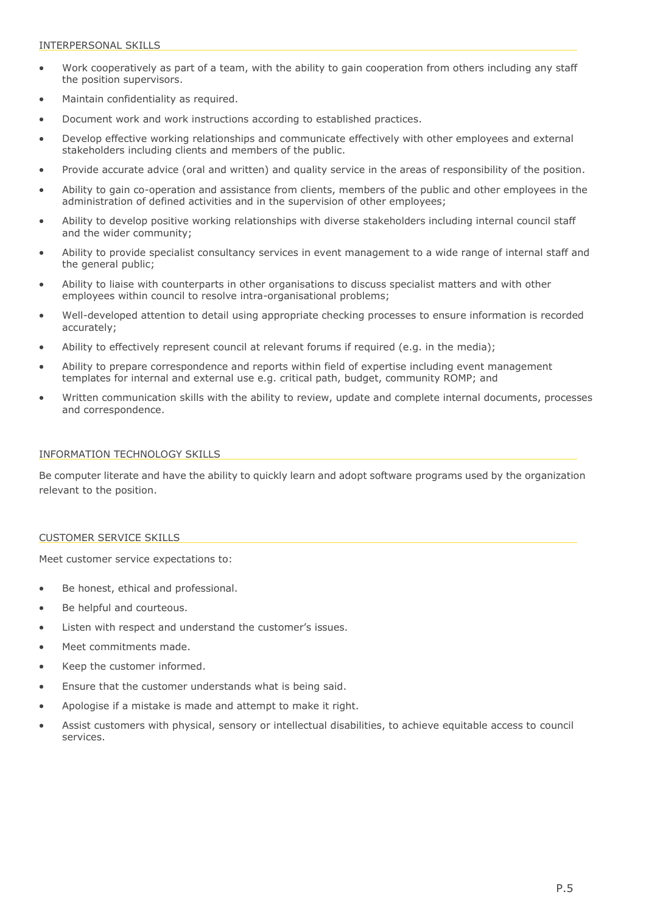#### INTERPERSONAL SKILLS

- Work cooperatively as part of a team, with the ability to gain cooperation from others including any staff the position supervisors.
- Maintain confidentiality as required.
- Document work and work instructions according to established practices.
- Develop effective working relationships and communicate effectively with other employees and external stakeholders including clients and members of the public.
- Provide accurate advice (oral and written) and quality service in the areas of responsibility of the position.
- Ability to gain co-operation and assistance from clients, members of the public and other employees in the administration of defined activities and in the supervision of other employees;
- Ability to develop positive working relationships with diverse stakeholders including internal council staff and the wider community;
- Ability to provide specialist consultancy services in event management to a wide range of internal staff and the general public;
- Ability to liaise with counterparts in other organisations to discuss specialist matters and with other employees within council to resolve intra-organisational problems;
- Well-developed attention to detail using appropriate checking processes to ensure information is recorded accurately;
- Ability to effectively represent council at relevant forums if required (e.g. in the media);
- Ability to prepare correspondence and reports within field of expertise including event management templates for internal and external use e.g. critical path, budget, community ROMP; and
- Written communication skills with the ability to review, update and complete internal documents, processes and correspondence.

#### INFORMATION TECHNOLOGY SKILLS

Be computer literate and have the ability to quickly learn and adopt software programs used by the organization relevant to the position.

## CUSTOMER SERVICE SKILLS

Meet customer service expectations to:

- Be honest, ethical and professional.
- Be helpful and courteous.
- Listen with respect and understand the customer's issues.
- Meet commitments made.
- Keep the customer informed.
- Ensure that the customer understands what is being said.
- Apologise if a mistake is made and attempt to make it right.
- Assist customers with physical, sensory or intellectual disabilities, to achieve equitable access to council services.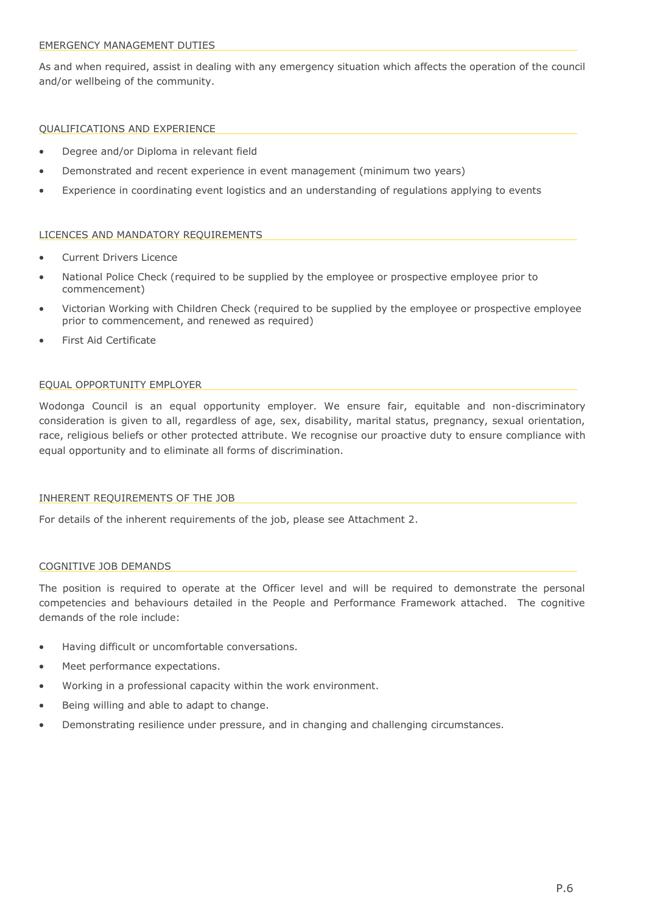#### EMERGENCY MANAGEMENT DUTIES

As and when required, assist in dealing with any emergency situation which affects the operation of the council and/or wellbeing of the community.

## QUALIFICATIONS AND EXPERIENCE

- Degree and/or Diploma in relevant field
- Demonstrated and recent experience in event management (minimum two years)
- Experience in coordinating event logistics and an understanding of regulations applying to events

## LICENCES AND MANDATORY REQUIREMENTS

- Current Drivers Licence
- National Police Check (required to be supplied by the employee or prospective employee prior to commencement)
- Victorian Working with Children Check (required to be supplied by the employee or prospective employee prior to commencement, and renewed as required)
- First Aid Certificate

# EQUAL OPPORTUNITY EMPLOYER

Wodonga Council is an equal opportunity employer. We ensure fair, equitable and non-discriminatory consideration is given to all, regardless of age, sex, disability, marital status, pregnancy, sexual orientation, race, religious beliefs or other protected attribute. We recognise our proactive duty to ensure compliance with equal opportunity and to eliminate all forms of discrimination.

## INHERENT REQUIREMENTS OF THE JOB

For details of the inherent requirements of the job, please see Attachment 2.

## COGNITIVE JOB DEMANDS

The position is required to operate at the Officer level and will be required to demonstrate the personal competencies and behaviours detailed in the People and Performance Framework attached. The cognitive demands of the role include:

- Having difficult or uncomfortable conversations.
- Meet performance expectations.
- Working in a professional capacity within the work environment.
- Being willing and able to adapt to change.
- Demonstrating resilience under pressure, and in changing and challenging circumstances.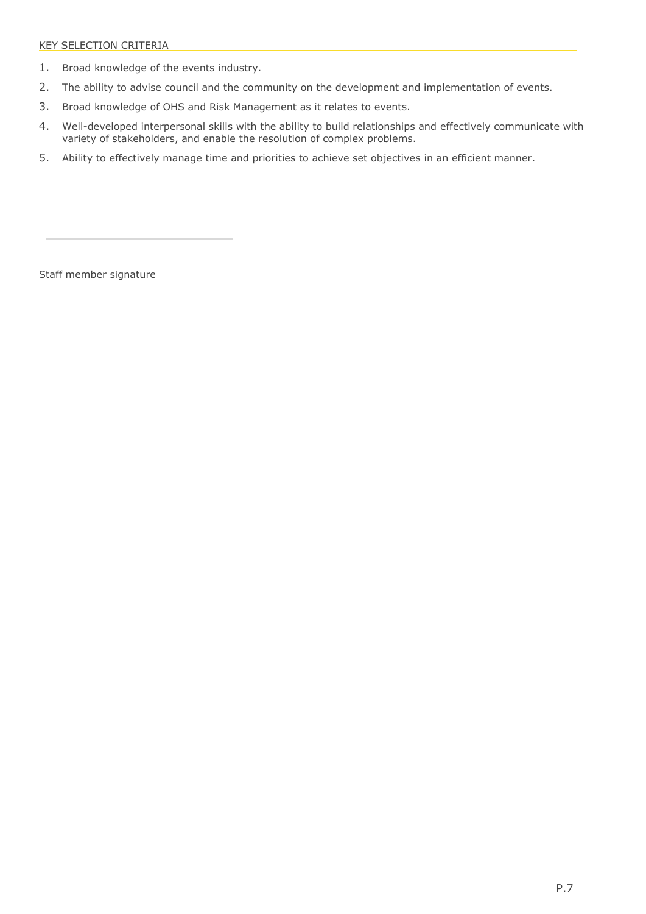- 1. Broad knowledge of the events industry.
- 2. The ability to advise council and the community on the development and implementation of events.
- 3. Broad knowledge of OHS and Risk Management as it relates to events.
- 4. Well-developed interpersonal skills with the ability to build relationships and effectively communicate with variety of stakeholders, and enable the resolution of complex problems.
- 5. Ability to effectively manage time and priorities to achieve set objectives in an efficient manner.

Staff member signature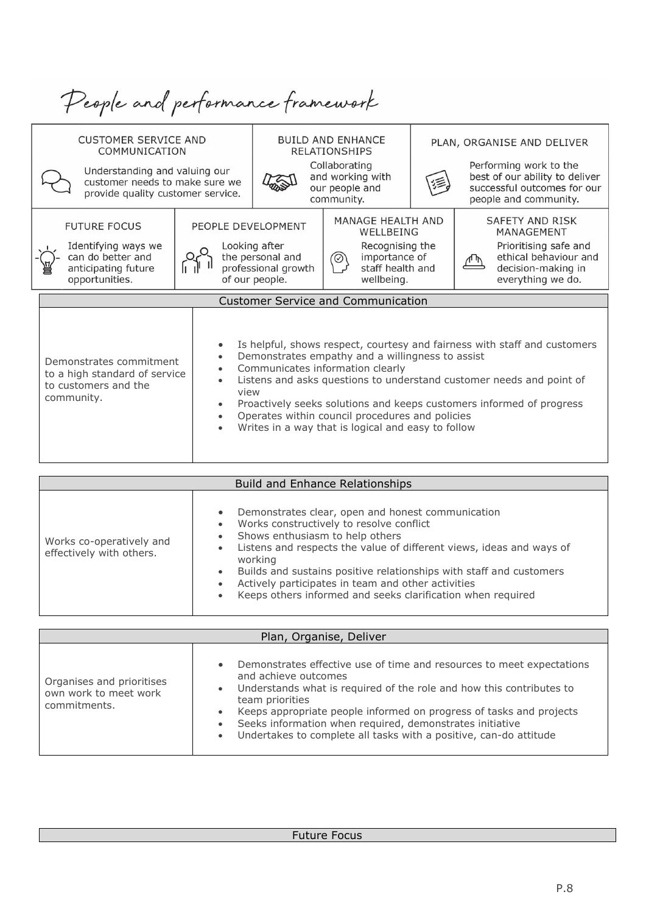| People and performance framework                                                                                                                     |                                                                                                                                                                                               |                                                                            |                                                                                                                                                                                                                           |                                                                                                                                                |                                                                                                                            |  |  |
|------------------------------------------------------------------------------------------------------------------------------------------------------|-----------------------------------------------------------------------------------------------------------------------------------------------------------------------------------------------|----------------------------------------------------------------------------|---------------------------------------------------------------------------------------------------------------------------------------------------------------------------------------------------------------------------|------------------------------------------------------------------------------------------------------------------------------------------------|----------------------------------------------------------------------------------------------------------------------------|--|--|
| <b>CUSTOMER SERVICE AND</b><br>COMMUNICATION<br>Understanding and valuing our<br>customer needs to make sure we<br>provide quality customer service. | <b>BUILD AND ENHANCE</b><br><b>RELATIONSHIPS</b><br>Collaborating<br>and working with<br>our people and<br>community.                                                                         |                                                                            |                                                                                                                                                                                                                           | PLAN, ORGANISE AND DELIVER<br>Performing work to the<br>best of our ability to deliver<br>successful outcomes for our<br>people and community. |                                                                                                                            |  |  |
| <b>FUTURE FOCUS</b><br>Identifying ways we<br>can do better and<br>anticipating future<br>opportunities.                                             | PEOPLE DEVELOPMENT                                                                                                                                                                            | Looking after<br>the personal and<br>professional growth<br>of our people. | MANAGE HEALTH AND<br>WELLBEING<br>Recognising the<br>importance of<br>$\circledcirc$<br>staff health and<br>wellbeing.                                                                                                    |                                                                                                                                                | SAFFTY AND RISK<br>MANAGEMENT<br>Prioritising safe and<br>ethical behaviour and<br>decision-making in<br>everything we do. |  |  |
|                                                                                                                                                      |                                                                                                                                                                                               |                                                                            | <b>Customer Service and Communication</b>                                                                                                                                                                                 |                                                                                                                                                |                                                                                                                            |  |  |
| Demonstrates commitment<br>to a high standard of service<br>to customers and the<br>community.                                                       | Demonstrates empathy and a willingness to assist<br>Communicates information clearly<br>Operates within council procedures and policies<br>Writes in a way that is logical and easy to follow |                                                                            | Is helpful, shows respect, courtesy and fairness with staff and customers<br>Listens and asks questions to understand customer needs and point of<br>Proactively seeks solutions and keeps customers informed of progress |                                                                                                                                                |                                                                                                                            |  |  |
| <b>Build and Enhance Relationshins</b>                                                                                                               |                                                                                                                                                                                               |                                                                            |                                                                                                                                                                                                                           |                                                                                                                                                |                                                                                                                            |  |  |

| Plan, Organise, Deliver                                            |                                                                                                                                                                                                                                                                                                                                                                                                                                                        |  |  |  |  |
|--------------------------------------------------------------------|--------------------------------------------------------------------------------------------------------------------------------------------------------------------------------------------------------------------------------------------------------------------------------------------------------------------------------------------------------------------------------------------------------------------------------------------------------|--|--|--|--|
| Organises and prioritises<br>own work to meet work<br>commitments. | • Demonstrates effective use of time and resources to meet expectations<br>and achieve outcomes<br>Understands what is required of the role and how this contributes to<br>$\bullet$<br>team priorities<br>Keeps appropriate people informed on progress of tasks and projects<br>$\bullet$<br>Seeks information when required, demonstrates initiative<br>$\bullet$<br>Undertakes to complete all tasks with a positive, can-do attitude<br>$\bullet$ |  |  |  |  |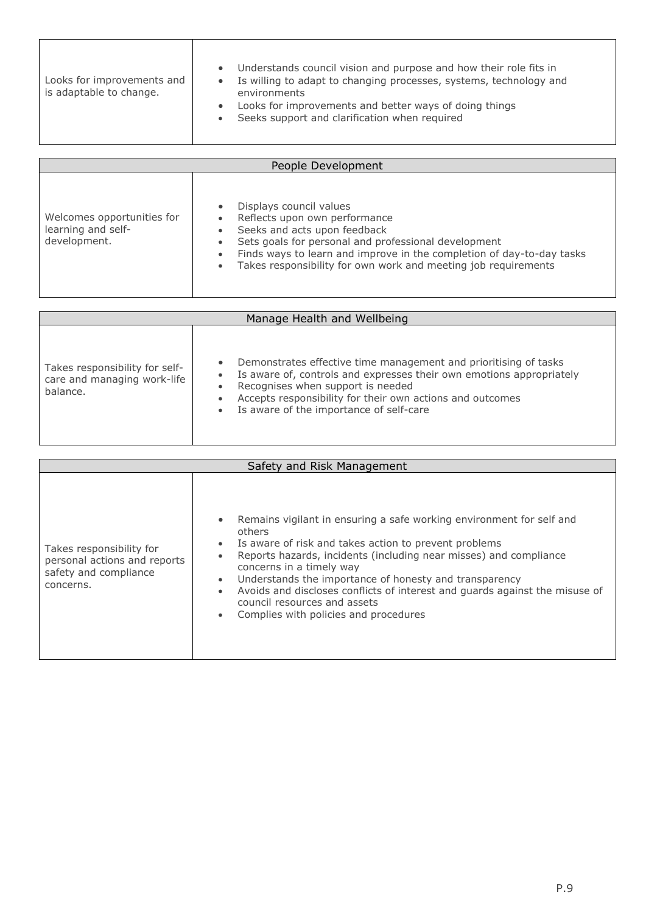| Looks for improvements and<br>is adaptable to change. | Understands council vision and purpose and how their role fits in<br>$\bullet$<br>Is willing to adapt to changing processes, systems, technology and<br>$\bullet$<br>environments<br>Looks for improvements and better ways of doing things<br>$\bullet$<br>Seeks support and clarification when required<br>$\bullet$ |
|-------------------------------------------------------|------------------------------------------------------------------------------------------------------------------------------------------------------------------------------------------------------------------------------------------------------------------------------------------------------------------------|
|-------------------------------------------------------|------------------------------------------------------------------------------------------------------------------------------------------------------------------------------------------------------------------------------------------------------------------------------------------------------------------------|

'n

r

| People Development                                               |                                                                                                                                                                                                                                                                                                                                                                           |  |  |  |
|------------------------------------------------------------------|---------------------------------------------------------------------------------------------------------------------------------------------------------------------------------------------------------------------------------------------------------------------------------------------------------------------------------------------------------------------------|--|--|--|
| Welcomes opportunities for<br>learning and self-<br>development. | Displays council values<br>$\bullet$<br>Reflects upon own performance<br>$\bullet$<br>Seeks and acts upon feedback<br>$\bullet$<br>Sets goals for personal and professional development<br>$\bullet$<br>Finds ways to learn and improve in the completion of day-to-day tasks<br>$\bullet$<br>Takes responsibility for own work and meeting job requirements<br>$\bullet$ |  |  |  |

| Manage Health and Wellbeing                                               |                                                                                                                                                                                                                                                                                                                              |  |  |  |
|---------------------------------------------------------------------------|------------------------------------------------------------------------------------------------------------------------------------------------------------------------------------------------------------------------------------------------------------------------------------------------------------------------------|--|--|--|
| Takes responsibility for self-<br>care and managing work-life<br>balance. | Demonstrates effective time management and prioritising of tasks<br>$\bullet$<br>Is aware of, controls and expresses their own emotions appropriately<br>Recognises when support is needed<br>$\bullet$<br>Accepts responsibility for their own actions and outcomes<br>Is aware of the importance of self-care<br>$\bullet$ |  |  |  |

| Safety and Risk Management                                                                     |                                                                                                                                                                                                                                                                                                                                                                                                                                                                                                                                          |  |  |  |  |
|------------------------------------------------------------------------------------------------|------------------------------------------------------------------------------------------------------------------------------------------------------------------------------------------------------------------------------------------------------------------------------------------------------------------------------------------------------------------------------------------------------------------------------------------------------------------------------------------------------------------------------------------|--|--|--|--|
| Takes responsibility for<br>personal actions and reports<br>safety and compliance<br>concerns. | Remains vigilant in ensuring a safe working environment for self and<br>$\bullet$<br>others<br>Is aware of risk and takes action to prevent problems<br>$\bullet$<br>Reports hazards, incidents (including near misses) and compliance<br>$\bullet$<br>concerns in a timely way<br>Understands the importance of honesty and transparency<br>$\bullet$<br>Avoids and discloses conflicts of interest and quards against the misuse of<br>$\bullet$<br>council resources and assets<br>Complies with policies and procedures<br>$\bullet$ |  |  |  |  |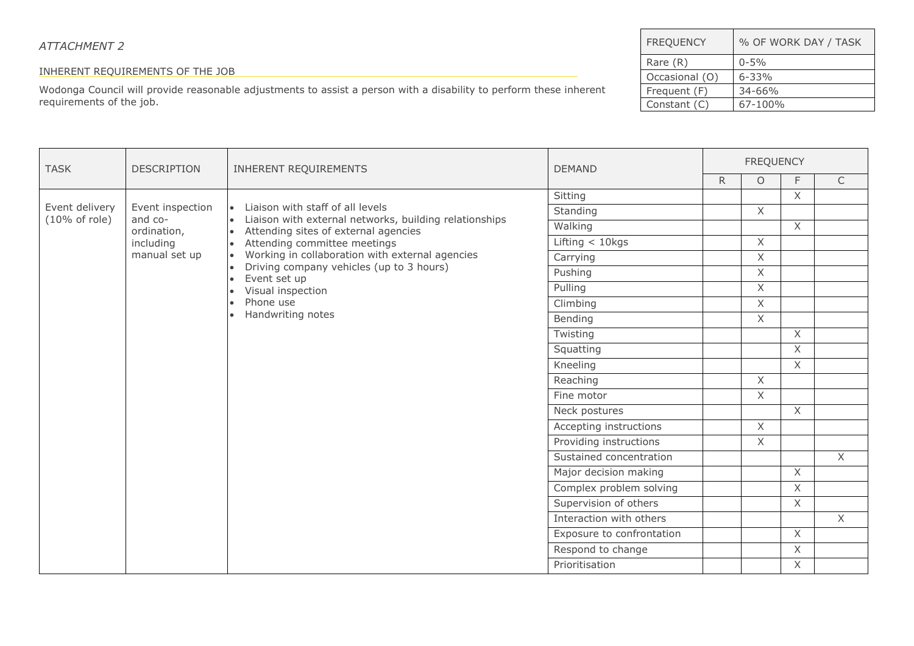# *ATTACHMENT 2*

# INHERENT REQUIREMENTS OF THE JOB

Wodonga Council will provide reasonable adjustments to assist a person with a disability to perform these inherent requirements of the job.

| <b>FREQUENCY</b> | % OF WORK DAY / TASK |
|------------------|----------------------|
| Rare $(R)$       | $0 - 5\%$            |
| Occasional (O)   | $6 - 33%$            |
| Frequent (F)     | $34 - 66%$           |
| Constant (C)     | 67-100%              |

| <b>TASK</b>              | <b>DESCRIPTION</b>     | INHERENT REQUIREMENTS                                                                              | <b>DEMAND</b>             | <b>FREQUENCY</b> |                                                                                                        |                |              |  |
|--------------------------|------------------------|----------------------------------------------------------------------------------------------------|---------------------------|------------------|--------------------------------------------------------------------------------------------------------|----------------|--------------|--|
|                          |                        |                                                                                                    |                           | R.               | $\circ$<br>$\times$<br>$\chi$<br>$\chi$<br>X<br>$\times$<br>$\chi$<br>$\times$<br>$\times$<br>$\times$ | F              | $\mathsf{C}$ |  |
|                          |                        |                                                                                                    | Sitting                   |                  |                                                                                                        | $\times$       |              |  |
| Event delivery           | Event inspection       | • Liaison with staff of all levels                                                                 | Standing                  |                  |                                                                                                        |                |              |  |
| $(10\% \text{ of role})$ | and co-<br>ordination, | • Liaison with external networks, building relationships<br>• Attending sites of external agencies | Walking                   |                  |                                                                                                        | $\chi$         |              |  |
|                          | including              | Attending committee meetings<br>$\bullet$                                                          | Lifting $<$ 10kgs         |                  |                                                                                                        |                |              |  |
|                          | manual set up          | Working in collaboration with external agencies                                                    | Carrying                  |                  |                                                                                                        |                |              |  |
|                          |                        | Driving company vehicles (up to 3 hours)<br>$\bullet$<br>Event set up<br>$\bullet$                 | Pushing                   |                  |                                                                                                        |                |              |  |
|                          |                        | Visual inspection<br>$\bullet$                                                                     | Pulling                   |                  |                                                                                                        |                |              |  |
|                          |                        | Phone use<br>$\bullet$                                                                             | Climbing                  |                  |                                                                                                        |                |              |  |
|                          |                        | Handwriting notes                                                                                  | Bending                   |                  |                                                                                                        |                |              |  |
|                          |                        |                                                                                                    | Twisting                  |                  |                                                                                                        | $\mathsf{X}$   |              |  |
|                          |                        |                                                                                                    | Squatting                 |                  |                                                                                                        | $\overline{X}$ |              |  |
|                          |                        |                                                                                                    | Kneeling                  |                  |                                                                                                        | $\mathsf{X}$   |              |  |
|                          |                        |                                                                                                    | Reaching                  |                  |                                                                                                        |                |              |  |
|                          |                        |                                                                                                    | Fine motor                |                  |                                                                                                        |                |              |  |
|                          |                        |                                                                                                    | Neck postures             |                  |                                                                                                        | $\overline{X}$ |              |  |
|                          |                        |                                                                                                    | Accepting instructions    |                  | $\chi$                                                                                                 |                |              |  |
|                          |                        |                                                                                                    | Providing instructions    |                  | X                                                                                                      |                |              |  |
|                          |                        |                                                                                                    | Sustained concentration   |                  |                                                                                                        |                | X            |  |
|                          |                        |                                                                                                    | Major decision making     |                  |                                                                                                        | $\overline{X}$ |              |  |
|                          |                        |                                                                                                    | Complex problem solving   |                  |                                                                                                        | $\times$       |              |  |
|                          |                        |                                                                                                    | Supervision of others     |                  |                                                                                                        | $\times$       |              |  |
|                          |                        |                                                                                                    | Interaction with others   |                  |                                                                                                        |                | X            |  |
|                          |                        |                                                                                                    | Exposure to confrontation |                  |                                                                                                        | $\times$       |              |  |
|                          |                        |                                                                                                    | Respond to change         |                  |                                                                                                        | X.             |              |  |
|                          |                        | Prioritisation                                                                                     |                           |                  | X.                                                                                                     |                |              |  |